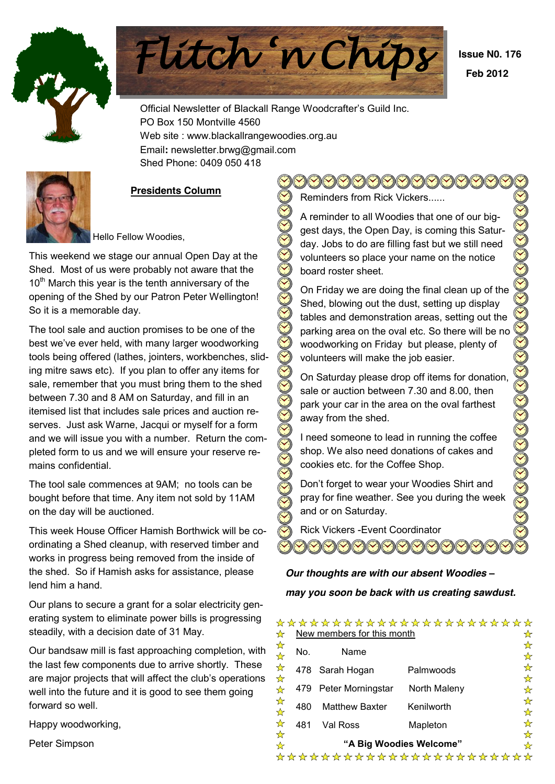



 **Issue N0. 176 Feb 2012**

Official Newsletter of Blackall Range Woodcrafter's Guild Inc. PO Box 150 Montville 4560 Web site : www.blackallrangewoodies.org.au Email**:** newsletter.brwg@gmail.com Shed Phone: 0409 050 418



## **Presidents Column**

Hello Fellow Woodies,

This weekend we stage our annual Open Day at the Shed. Most of us were probably not aware that the  $10<sup>th</sup>$  March this year is the tenth anniversary of the opening of the Shed by our Patron Peter Wellington! So it is a memorable day.

The tool sale and auction promises to be one of the best we've ever held, with many larger woodworking tools being offered (lathes, jointers, workbenches, sliding mitre saws etc). If you plan to offer any items for sale, remember that you must bring them to the shed between 7.30 and 8 AM on Saturday, and fill in an itemised list that includes sale prices and auction reserves. Just ask Warne, Jacqui or myself for a form and we will issue you with a number. Return the completed form to us and we will ensure your reserve remains confidential.

The tool sale commences at 9AM; no tools can be bought before that time. Any item not sold by 11AM on the day will be auctioned.

This week House Officer Hamish Borthwick will be coordinating a Shed cleanup, with reserved timber and works in progress being removed from the inside of the shed. So if Hamish asks for assistance, please lend him a hand.

Our plans to secure a grant for a solar electricity generating system to eliminate power bills is progressing steadily, with a decision date of 31 May.

Our bandsaw mill is fast approaching completion, with the last few components due to arrive shortly. These are maior projects that will affect the club's operations well into the future and it is good to see them going forward so well.

Happy woodworking,

Peter Simpson

 $\bigcirc$ Reminders from Rick Vickers......

A reminder to all Woodies that one of our biggest days, the Open Day, is coming this Saturday. Jobs to do are filling fast but we still need volunteers so place your name on the notice board roster sheet.

On Friday we are doing the final clean up of the Shed, blowing out the dust, setting up display tables and demonstration areas, setting out the parking area on the oval etc. So there will be no woodworking on Friday but please, plenty of volunteers will make the job easier.

On Saturday please drop off items for donation, sale or auction between 7.30 and 8.00, then park your car in the area on the oval farthest away from the shed.

I need someone to lead in running the coffee shop. We also need donations of cakes and cookies etc. for the Coffee Shop.

Don't forget to wear your Woodies Shirt and pray for fine weather. See you during the week and or on Saturday.

Rick Vickers -Event Coordinator

## *Our thoughts are with our absent Woodies ± may you soon be back with us creating sawdust.*

| ⅍                            |                              | New members for this month | *********************** | ☆      |  |  |  |  |  |  |
|------------------------------|------------------------------|----------------------------|-------------------------|--------|--|--|--|--|--|--|
| A<br>A                       | No.                          | Name                       |                         | ☆<br>☆ |  |  |  |  |  |  |
| A<br>X<br>$\mathbf{\hat{x}}$ |                              | 478 Sarah Hogan            | Palmwoods               | ☆<br>☆ |  |  |  |  |  |  |
| ⅍                            | 479                          | Peter Morningstar          | North Maleny            | ☆      |  |  |  |  |  |  |
| <b>A</b><br>A                | 480                          | <b>Matthew Baxter</b>      | Kenilworth              | ☆<br>✿ |  |  |  |  |  |  |
| ⅍                            | 481                          | Val Ross                   | Mapleton                | ☆<br>☆ |  |  |  |  |  |  |
| ⅍<br>⅍                       | "A Big Woodies Welcome"<br>✿ |                            |                         |        |  |  |  |  |  |  |
|                              |                              |                            | *********************** |        |  |  |  |  |  |  |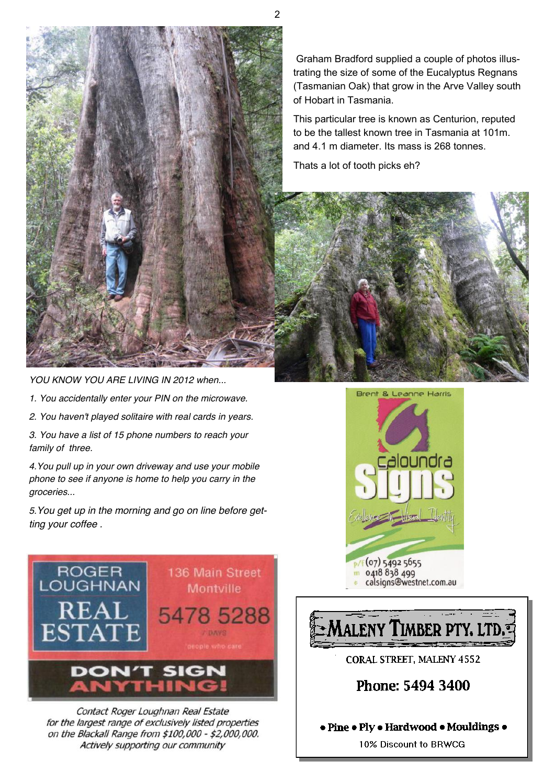

Graham Bradford supplied a couple of photos illustrating the size of some of the Eucalyptus Regnans (Tasmanian Oak) that grow in the Arve Valley south of Hobart in Tasmania.

This particular tree is known as Centurion, reputed to be the tallest known tree in Tasmania at 101m. and 4.1 m diameter. Its mass is 268 tonnes.

Thats a lot of tooth picks eh?

*YOU KNOW YOU ARE LIVING IN 2012 when...* 

- *1. You accidentally enter your PIN on the microwave.*
- *2. You haven't played solitaire with real cards in years.*

*3. You have a list of 15 phone numbers to reach your family of three.* 

*4.You pull up in your own driveway and use your mobile phone to see if anyone is home to help you carry in the groceries...* 

*5.You get up in the morning and go on line before getting your coffee .*



Contact Roger Loughnan Real Estate for the largest range of exclusively listed properties on the Blackall Range from \$100,000 - \$2,000,000. Actively supporting our community





10% Discount to BRWCG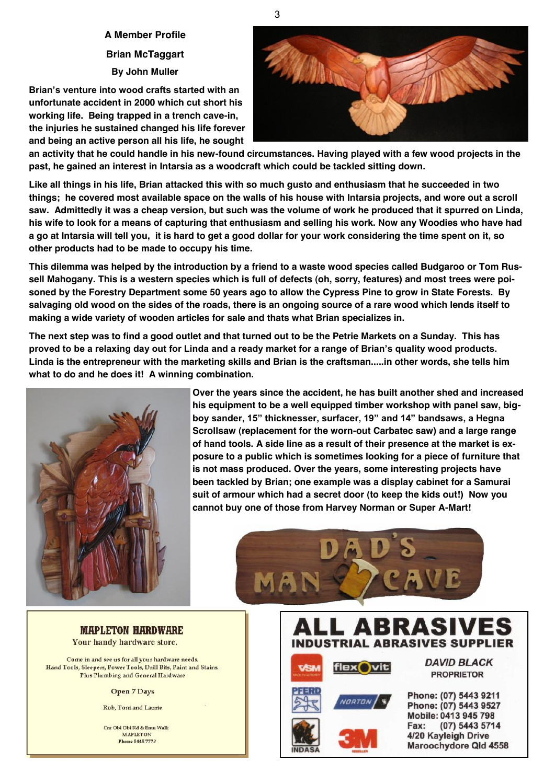**A Member Profile Brian McTaggart By John Muller**

**Brian's venture into wood crafts started with an unfortunate accident in 2000 which cut short his working life. Being trapped in a trench cave-in, the injuries he sustained changed his life forever and being an active person all his life, he sought** 



**an activity that he could handle in his new-found circumstances. Having played with a few wood projects in the past, he gained an interest in Intarsia as a woodcraft which could be tackled sitting down.** 

**Like all things in his life, Brian attacked this with so much gusto and enthusiasm that he succeeded in two things; he covered most available space on the walls of his house with Intarsia projects, and wore out a scroll saw. Admittedly it was a cheap version, but such was the volume of work he produced that it spurred on Linda, his wife to look for a means of capturing that enthusiasm and selling his work. Now any Woodies who have had a go at Intarsia will tell you, it is hard to get a good dollar for your work considering the time spent on it, so other products had to be made to occupy his time.** 

**This dilemma was helped by the introduction by a friend to a waste wood species called Budgaroo or Tom Russell Mahogany. This is a western species which is full of defects (oh, sorry, features) and most trees were poisoned by the Forestry Department some 50 years ago to allow the Cypress Pine to grow in State Forests. By salvaging old wood on the sides of the roads, there is an ongoing source of a rare wood which lends itself to making a wide variety of wooden articles for sale and thats what Brian specializes in.** 

**The next step was to find a good outlet and that turned out to be the Petrie Markets on a Sunday. This has**  proved to be a relaxing day out for Linda and a ready market for a range of Brian's quality wood products. **Linda is the entrepreneur with the marketing skills and Brian is the craftsman.....in other words, she tells him what to do and he does it! A winning combination.**



**Over the years since the accident, he has built another shed and increased his equipment to be a well equipped timber workshop with panel saw, big**boy sander, 15" thicknesser, surfacer, 19" and 14" bandsaws, a Hegna **Scrollsaw (replacement for the worn-out Carbatec saw) and a large range of hand tools. A side line as a result of their presence at the market is exposure to a public which is sometimes looking for a piece of furniture that is not mass produced. Over the years, some interesting projects have been tackled by Brian; one example was a display cabinet for a Samurai suit of armour which had a secret door (to keep the kids out!) Now you cannot buy one of those from Harvey Norman or Super A-Mart!**



**MAPLETON HARDWARE** Your handy hardware store.

Come in and see us for all your hardware needs. Hand Tools, Sleepers, Power Tools, Drill Bits, Paint and Stains. Plus Plumbing and General Hardware

**Open 7 Days** 

Rob, Toni and Laurie

Cnr Obi Obi Rd & Emu Walk **MAPLETON Phone 5445 7773** 

#### ASI Δ В **INDUSTRIAL ABRASIVES SUPPLIER**



**DAVID BLACK PROPRIETOR** 

Phone: (07) 5443 9211 Phone: (07) 5443 9527 Mobile: 0413 945 798 Fax: (07) 5443 5714 4/20 Kayleigh Drive Maroochydore Qld 4558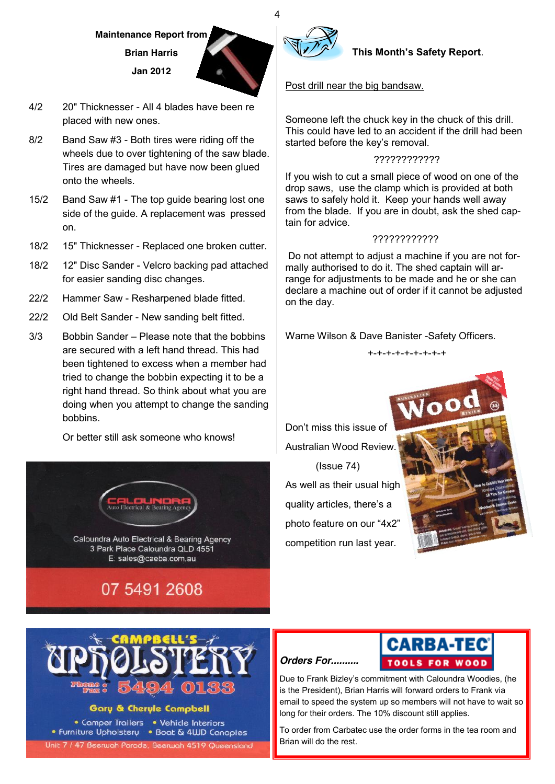**Maintenance Report from Brian Harris Jan 2012**



- 4/2 20" Thicknesser All 4 blades have been re placed with new ones.
- 8/2 Band Saw #3 Both tires were riding off the wheels due to over tightening of the saw blade. Tires are damaged but have now been glued onto the wheels.
- 15/2 Band Saw #1 The top guide bearing lost one side of the guide. A replacement was pressed on.
- 18/2 15" Thicknesser Replaced one broken cutter.
- 18/2 12" Disc Sander Velcro backing pad attached for easier sanding disc changes.
- 22/2 Hammer Saw Resharpened blade fitted.
- 22/2 Old Belt Sander New sanding belt fitted.
- $3/3$  Bobbin Sander  $-$  Please note that the bobbins are secured with a left hand thread. This had been tightened to excess when a member had tried to change the bobbin expecting it to be a right hand thread. So think about what you are doing when you attempt to change the sanding bobbins.

Or better still ask someone who knows!





## Gary & Cheryle Campbell

• Comper Trailers • Vehicle Interiors • Furniture Upholstery • Boat & 4WD Canopies Unit 7 / 47 Beerwah Parade, Beerwah 4519 Queensland



4

## **This Month's Safety Report.**

## Post drill near the big bandsaw.

Someone left the chuck key in the chuck of this drill. This could have led to an accident if the drill had been started before the key's removal.

#### ????????????

If you wish to cut a small piece of wood on one of the drop saws, use the clamp which is provided at both saws to safely hold it. Keep your hands well away from the blade. If you are in doubt, ask the shed captain for advice.

## ????????????

Do not attempt to adjust a machine if you are not formally authorised to do it. The shed captain will arrange for adjustments to be made and he or she can declare a machine out of order if it cannot be adjusted on the day.

Warne Wilson & Dave Banister -Safety Officers.

+-+-+-+-+-+-+-+-+

Don't miss this issue of Australian Wood Review. (Issue 74) As well as their usual high quality articles, there's a photo feature on our "4x2" competition run last year.







Due to Frank Bizley's commitment with Caloundra Woodies. (he is the President), Brian Harris will forward orders to Frank via email to speed the system up so members will not have to wait so long for their orders. The 10% discount still applies.

To order from Carbatec use the order forms in the tea room and Brian will do the rest.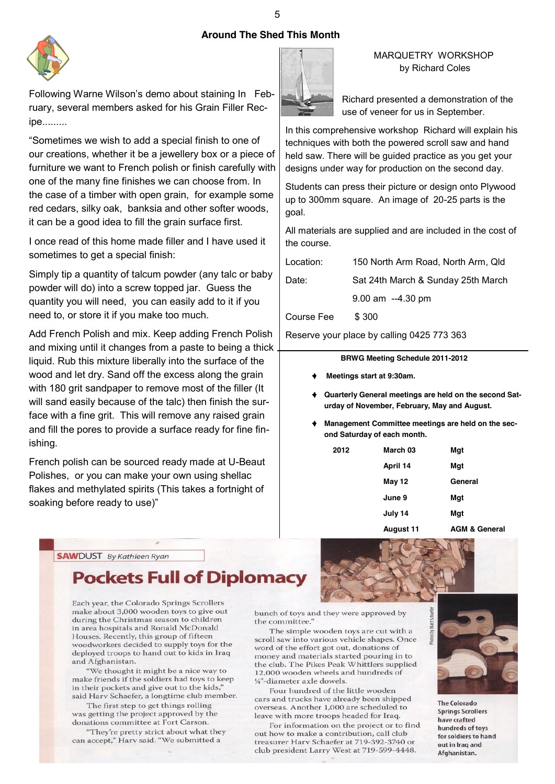## **Around The Shed This Month**



Following Warne Wilson's demo about staining In February, several members asked for his Grain Filler Recipe.........

"Sometimes we wish to add a special finish to one of our creations, whether it be a jewellery box or a piece of furniture we want to French polish or finish carefully with one of the many fine finishes we can choose from. In the case of a timber with open grain, for example some red cedars, silky oak, banksia and other softer woods, it can be a good idea to fill the grain surface first.

I once read of this home made filler and I have used it sometimes to get a special finish:

Simply tip a quantity of talcum powder (any talc or baby powder will do) into a screw topped jar. Guess the quantity you will need, you can easily add to it if you need to, or store it if you make too much.

Add French Polish and mix. Keep adding French Polish and mixing until it changes from a paste to being a thick liquid. Rub this mixture liberally into the surface of the wood and let dry. Sand off the excess along the grain with 180 grit sandpaper to remove most of the filler (It will sand easily because of the talc) then finish the surface with a fine grit. This will remove any raised grain and fill the pores to provide a surface ready for fine finishing.

French polish can be sourced ready made at U-Beaut Polishes, or you can make your own using shellac flakes and methylated spirits (This takes a fortnight of soaking before ready to use)"



### MARQUETRY WORKSHOP by Richard Coles

Richard presented a demonstration of the use of veneer for us in September.

In this comprehensive workshop Richard will explain his techniques with both the powered scroll saw and hand held saw. There will be guided practice as you get your designs under way for production on the second day.

Students can press their picture or design onto Plywood up to 300mm square. An image of 20-25 parts is the goal.

All materials are supplied and are included in the cost of the course.

| Location:  | 150 North Arm Road, North Arm, Qld |
|------------|------------------------------------|
| Date:      | Sat 24th March & Sunday 25th March |
|            | $9.00$ am $-4.30$ pm               |
| Course Fee | \$300                              |

Reserve your place by calling 0425 773 363

#### **BRWG Meeting Schedule 2011-2012**

- **Meetings start at 9:30am.**
- **Quarterly General meetings are held on the second Saturday of November, February, May and August.**
- **Management Committee meetings are held on the second Saturday of each month.**

| 2012 | March 03      | Mgt     |
|------|---------------|---------|
|      | April 14      | Mgt     |
|      | <b>May 12</b> | General |
|      | June 9        | Mgt     |
|      | July 14       | Mgt     |
|      |               |         |

**August 11 AGM & General** 

**SAW**DUST By Kathleen Ryan

# **Pockets Full of Diplomacy**

Each year, the Colorado Springs Scrollers make about 3,000 wooden toys to give out during the Christmas season to children in area hospitals and Ronald McDonald Houses. Recently, this group of fifteen woodworkers decided to supply toys for the deployed troops to hand out to kids in Iraq and Afghanistan.

"We thought it might be a nice way to make friends if the soldiers had toys to keep in their pockets and give out to the kids,' said Harv Schaefer, a longtime club member.

The first step to get things rolling was getting the project approved by the donations committee at Fort Carson.

"They're pretty strict about what they can accept," Harv said. "We submitted a

bunch of toys and they were approved by the committee.'

The simple wooden toys are cut with a scroll saw into various vehicle shapes. Once word of the effort got out, donations of money and materials started pouring in to the club. The Pikes Peak Whittlers supplied 12,000 wooden wheels and hundreds of 1/4"-diameter axle dowels.

Four hundred of the little wooden cars and trucks have already been shipped overseas. Another 1,000 are scheduled to leave with more troops headed for Iraq.

For information on the project or to find out how to make a contribution, call club treasurer Harv Schaefer at 719-392-3740 or club president Larry West at 719-599-4448.



**The Colorado Springs Scrollers** have crafted hundreds of toys for soldiers to hand out in Iraq and Afghanistan.